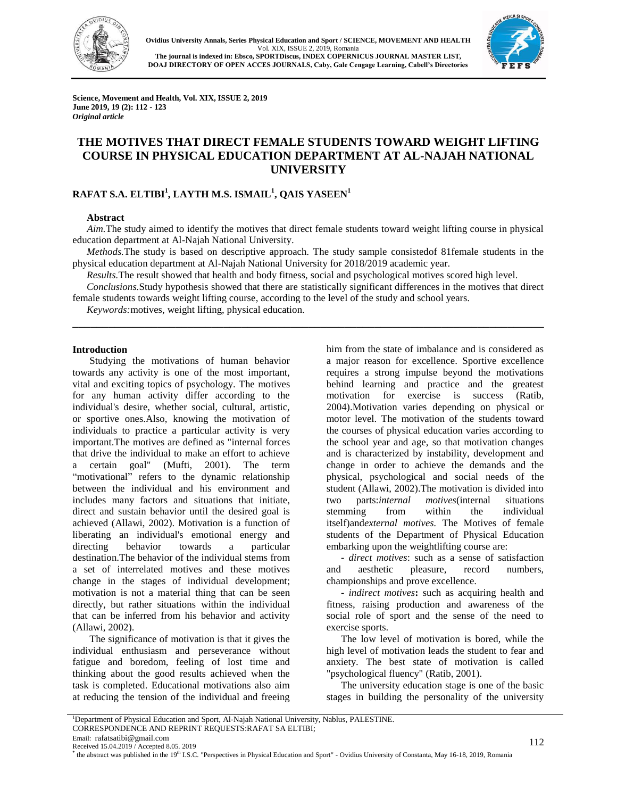



**Science, Movement and Health, Vol. XIX, ISSUE 2, 2019 June 2019, 19 (2): 112 - 123** *Original article* 

# **THE MOTIVES THAT DIRECT FEMALE STUDENTS TOWARD WEIGHT LIFTING COURSE IN PHYSICAL EDUCATION DEPARTMENT AT AL-NAJAH NATIONAL UNIVERSITY**

## **RAFAT S.A. ELTIBI<sup>1</sup> , LAYTH M.S. ISMAIL<sup>1</sup> , QAIS YASEEN<sup>1</sup>**

### **Abstract**

*Aim.*The study aimed to identify the motives that direct female students toward weight lifting course in physical education department at Al-Najah National University.

*Methods.*The study is based on descriptive approach. The study sample consistedof 81female students in the physical education department at Al-Najah National University for 2018/2019 academic year.

*Results.*The result showed that health and body fitness, social and psychological motives scored high level.

*Conclusions.*Study hypothesis showed that there are statistically significant differences in the motives that direct female students towards weight lifting course, according to the level of the study and school years.

\_\_\_\_\_\_\_\_\_\_\_\_\_\_\_\_\_\_\_\_\_\_\_\_\_\_\_\_\_\_\_\_\_\_\_\_\_\_\_\_\_\_\_\_\_\_\_\_\_\_\_\_\_\_\_\_\_\_\_\_\_\_\_\_\_\_\_\_\_\_\_\_\_\_\_\_\_\_

*Keywords:*motives, weight lifting, physical education.

#### **Introduction**

Studying the motivations of human behavior towards any activity is one of the most important, vital and exciting topics of psychology. The motives for any human activity differ according to the individual's desire, whether social, cultural, artistic, or sportive ones.Also, knowing the motivation of individuals to practice a particular activity is very important.The motives are defined as "internal forces that drive the individual to make an effort to achieve a certain goal" (Mufti, 2001). The term "motivational" refers to the dynamic relationship between the individual and his environment and includes many factors and situations that initiate, direct and sustain behavior until the desired goal is achieved (Allawi, 2002). Motivation is a function of liberating an individual's emotional energy and directing behavior towards a particular destination.The behavior of the individual stems from a set of interrelated motives and these motives change in the stages of individual development; motivation is not a material thing that can be seen directly, but rather situations within the individual that can be inferred from his behavior and activity (Allawi, 2002).

The significance of motivation is that it gives the individual enthusiasm and perseverance without fatigue and boredom, feeling of lost time and thinking about the good results achieved when the task is completed. Educational motivations also aim at reducing the tension of the individual and freeing him from the state of imbalance and is considered as a major reason for excellence. Sportive excellence requires a strong impulse beyond the motivations behind learning and practice and the greatest motivation for exercise is success (Ratib, 2004).Motivation varies depending on physical or motor level. The motivation of the students toward the courses of physical education varies according to the school year and age, so that motivation changes and is characterized by instability, development and change in order to achieve the demands and the physical, psychological and social needs of the student (Allawi, 2002).The motivation is divided into two parts:*internal motives*(internal situations stemming from within the individual itself)and*external motives.* The Motives of female students of the Department of Physical Education embarking upon the weightlifting course are:

**-** *direct motives*: such as a sense of satisfaction and aesthetic pleasure, record numbers, championships and prove excellence.

**-** *indirect motives***:** such as acquiring health and fitness, raising production and awareness of the social role of sport and the sense of the need to exercise sports.

The low level of motivation is bored, while the high level of motivation leads the student to fear and anxiety. The best state of motivation is called "psychological fluency" (Ratib, 2001).

The university education stage is one of the basic stages in building the personality of the university

Received 15.04.2019 / Accepted 8.05. 2019

**\*** the abstract was published in the 19<sup>th</sup> I.S.C. "Perspectives in Physical Education and Sport" - Ovidius University of Constanta, May 16-18, 2019, Romania

<sup>&</sup>lt;sup>1</sup>Department of Physical Education and Sport, Al-Najah National University, Nablus, PALESTINE.

CORRESPONDENCE AND REPRINT REQUESTS:RAFAT SA ELTIBI;

Email: rafatsatibi@gmail.com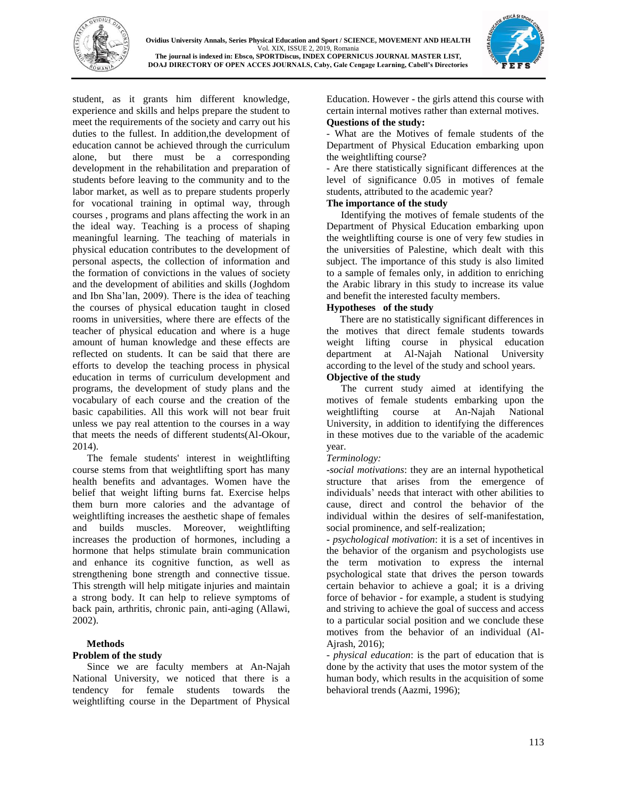



student, as it grants him different knowledge, experience and skills and helps prepare the student to meet the requirements of the society and carry out his duties to the fullest. In addition,the development of education cannot be achieved through the curriculum alone, but there must be a corresponding development in the rehabilitation and preparation of students before leaving to the community and to the labor market, as well as to prepare students properly for vocational training in optimal way, through courses , programs and plans affecting the work in an the ideal way. Teaching is a process of shaping meaningful learning. The teaching of materials in physical education contributes to the development of personal aspects, the collection of information and the formation of convictions in the values of society and the development of abilities and skills (Joghdom and Ibn Sha'lan, 2009). There is the idea of teaching the courses of physical education taught in closed rooms in universities, where there are effects of the teacher of physical education and where is a huge amount of human knowledge and these effects are reflected on students. It can be said that there are efforts to develop the teaching process in physical education in terms of curriculum development and programs, the development of study plans and the vocabulary of each course and the creation of the basic capabilities. All this work will not bear fruit unless we pay real attention to the courses in a way that meets the needs of different students(Al-Okour, 2014).

The female students' interest in weightlifting course stems from that weightlifting sport has many health benefits and advantages. Women have the belief that weight lifting burns fat. Exercise helps them burn more calories and the advantage of weightlifting increases the aesthetic shape of females and builds muscles. Moreover, weightlifting increases the production of hormones, including a hormone that helps stimulate brain communication and enhance its cognitive function, as well as strengthening bone strength and connective tissue. This strength will help mitigate injuries and maintain a strong body. It can help to relieve symptoms of back pain, arthritis, chronic pain, anti-aging (Allawi, 2002).

#### **Methods**

## **Problem of the study**

Since we are faculty members at An-Najah National University, we noticed that there is a tendency for female students towards the weightlifting course in the Department of Physical Education. However - the girls attend this course with certain internal motives rather than external motives. **Questions of the study:**

#### - What are the Motives of female students of the Department of Physical Education embarking upon the weightlifting course?

- Are there statistically significant differences at the level of significance 0.05 in motives of female students, attributed to the academic year?

### **The importance of the study**

Identifying the motives of female students of the Department of Physical Education embarking upon the weightlifting course is one of very few studies in the universities of Palestine, which dealt with this subject. The importance of this study is also limited to a sample of females only, in addition to enriching the Arabic library in this study to increase its value and benefit the interested faculty members.

### **Hypotheses of the study**

There are no statistically significant differences in the motives that direct female students towards weight lifting course in physical education department at Al-Najah National University according to the level of the study and school years.

## **Objective of the study**

The current study aimed at identifying the motives of female students embarking upon the weightlifting course at An-Najah National University, in addition to identifying the differences in these motives due to the variable of the academic year.

## *Terminology:*

**-***social motivations*: they are an internal hypothetical structure that arises from the emergence of individuals' needs that interact with other abilities to cause, direct and control the behavior of the individual within the desires of self-manifestation, social prominence, and self-realization;

**-** *psychological motivation*: it is a set of incentives in the behavior of the organism and psychologists use the term motivation to express the internal psychological state that drives the person towards certain behavior to achieve a goal; it is a driving force of behavior - for example, a student is studying and striving to achieve the goal of success and access to a particular social position and we conclude these motives from the behavior of an individual (Al-Ajrash, 2016);

- *physical education*: is the part of education that is done by the activity that uses the motor system of the human body, which results in the acquisition of some behavioral trends (Aazmi, 1996);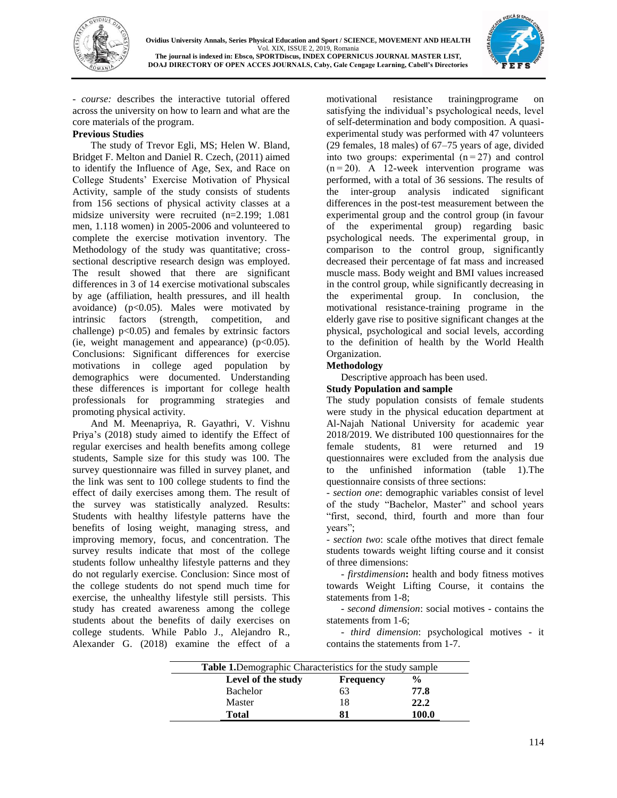



- *course:* describes the interactive tutorial offered across the university on how to learn and what are the core materials of the program.

## **Previous Studies**

The study of Trevor Egli, MS; Helen W. Bland, Bridget F. Melton and Daniel R. Czech, (2011) aimed to identify the Influence of Age, Sex, and Race on College Students' Exercise Motivation of Physical Activity, sample of the study consists of students from 156 sections of physical activity classes at a midsize university were recruited (n=2.199; 1.081 men, 1.118 women) in 2005-2006 and volunteered to complete the exercise motivation inventory. The Methodology of the study was quantitative; crosssectional descriptive research design was employed. The result showed that there are significant differences in 3 of 14 exercise motivational subscales by age (affiliation, health pressures, and ill health avoidance) ( $p<0.05$ ). Males were motivated by intrinsic factors (strength, competition, and challenge)  $p<0.05$ ) and females by extrinsic factors (ie, weight management and appearance)  $(p<0.05)$ . Conclusions: Significant differences for exercise motivations in college aged population by demographics were documented. Understanding these differences is important for college health professionals for programming strategies and promoting physical activity.

And M. Meenapriya, R. Gayathri, V. Vishnu Priya's (2018) study aimed to identify the Effect of regular exercises and health benefits among college students, Sample size for this study was 100. The survey questionnaire was filled in survey planet, and the link was sent to 100 college students to find the effect of daily exercises among them. The result of the survey was statistically analyzed. Results: Students with healthy lifestyle patterns have the benefits of losing weight, managing stress, and improving memory, focus, and concentration. The survey results indicate that most of the college students follow unhealthy lifestyle patterns and they do not regularly exercise. Conclusion: Since most of the college students do not spend much time for exercise, the unhealthy lifestyle still persists. This study has created awareness among the college students about the benefits of daily exercises on college students. While Pablo J., Alejandro R., Alexander G. (2018) examine the effect of a

motivational resistance trainingprograme on satisfying the individual's psychological needs, level of self-determination and body composition. A quasiexperimental study was performed with 47 volunteers (29 females, 18 males) of 67–75 years of age, divided into two groups: experimental  $(n=27)$  and control  $(n=20)$ . A 12-week intervention programe was performed, with a total of 36 sessions. The results of the inter-group analysis indicated significant differences in the post-test measurement between the experimental group and the control group (in favour of the experimental group) regarding basic psychological needs. The experimental group, in comparison to the control group, significantly decreased their percentage of fat mass and increased muscle mass. Body weight and BMI values increased in the control group, while significantly decreasing in the experimental group. In conclusion, the motivational resistance-training programe in the elderly gave rise to positive significant changes at the physical, psychological and social levels, according to the definition of health by the World Health Organization.

## **Methodology**

Descriptive approach has been used.

## **Study Population and sample**

The study population consists of female students were study in the physical education department at Al-Najah National University for academic year 2018/2019. We distributed 100 questionnaires for the female students, 81 were returned and 19 questionnaires were excluded from the analysis due to the unfinished information (table 1).The questionnaire consists of three sections:

- *section one*: demographic variables consist of level of the study "Bachelor, Master" and school years "first, second, third, fourth and more than four years";

- *section two*: scale ofthe motives that direct female students towards weight lifting course and it consist of three dimensions:

- *firstdimension***:** health and body fitness motives towards Weight Lifting Course, it contains the statements from 1-8;

- *second dimension*: social motives - contains the statements from 1-6;

- *third dimension*: psychological motives - it contains the statements from 1-7.

| <b>Table 1.</b> Demographic Characteristics for the study sample |                    |                  |       |  |  |
|------------------------------------------------------------------|--------------------|------------------|-------|--|--|
|                                                                  | Level of the study | <b>Frequency</b> | %     |  |  |
|                                                                  | <b>Bachelor</b>    | 63               | 77.8  |  |  |
|                                                                  | Master             | 18               | 22.2  |  |  |
|                                                                  | Total              | 81               | 100.0 |  |  |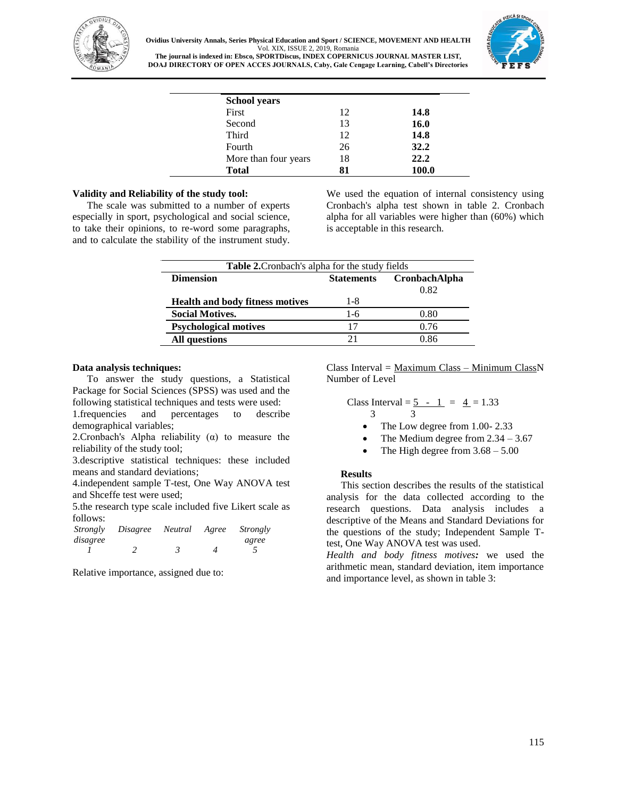

**Ovidius University Annals, Series Physical Education and Sport / SCIENCE, MOVEMENT AND HEALTH** Vol. XIX, ISSUE 2, 2019, Romania **The journal is indexed in: Ebsco, SPORTDiscus, INDEX COPERNICUS JOURNAL MASTER LIST,**



**DOAJ DIRECTORY OF OPEN ACCES JOURNALS, Caby, Gale Cengage Learning, Cabell's Directories**

| <b>School years</b>  |    |       |
|----------------------|----|-------|
| First                | 12 | 14.8  |
| Second               | 13 | 16.0  |
| Third                | 12 | 14.8  |
| Fourth               | 26 | 32.2  |
| More than four years | 18 | 22.2  |
| <b>Total</b>         |    | 100.0 |

### **Validity and Reliability of the study tool:**

The scale was submitted to a number of experts especially in sport, psychological and social science, to take their opinions, to re-word some paragraphs, and to calculate the stability of the instrument study. We used the equation of internal consistency using Cronbach's alpha test shown in table 2. Cronbach alpha for all variables were higher than (60%) which is acceptable in this research.

| Table 2. Cronbach's alpha for the study fields |                   |                              |  |  |  |  |
|------------------------------------------------|-------------------|------------------------------|--|--|--|--|
| <b>Dimension</b>                               | <b>Statements</b> | <b>CronbachAlpha</b><br>0.82 |  |  |  |  |
| <b>Health and body fitness motives</b>         | 1-8               |                              |  |  |  |  |
| <b>Social Motives.</b>                         | $1-6$             | 0.80                         |  |  |  |  |
| <b>Psychological motives</b>                   | 17                | 0.76                         |  |  |  |  |
| <b>All questions</b>                           |                   | 0.86                         |  |  |  |  |

#### **Data analysis techniques:**

To answer the study questions, a Statistical Package for Social Sciences (SPSS) was used and the following statistical techniques and tests were used:

1.frequencies and percentages to describe demographical variables;

2. Cronbach's Alpha reliability  $(\alpha)$  to measure the reliability of the study tool;

3.descriptive statistical techniques: these included means and standard deviations;

4.independent sample T-test, One Way ANOVA test and Shceffe test were used;

5.the research type scale included five Likert scale as follows:

| Strongly | Disagree | Neutral | Agree | Strongly |
|----------|----------|---------|-------|----------|
| disagree |          |         |       | agree    |
|          |          |         |       |          |

Relative importance, assigned due to:

 $Class Interval = Maximum Class - Minimum ClassN$ Number of Level

Class Interval = 
$$
\frac{5 - 1}{3} = \frac{4}{1} = 1.33
$$

The Low degree from 1.00- 2.33

- The Medium degree from 2.34 3.67
- The High degree from  $3.68 5.00$

#### **Results**

This section describes the results of the statistical analysis for the data collected according to the research questions. Data analysis includes a descriptive of the Means and Standard Deviations for the questions of the study; Independent Sample Ttest, One Way ANOVA test was used.

*Health and body fitness motives:* we used the arithmetic mean, standard deviation, item importance and importance level, as shown in table 3: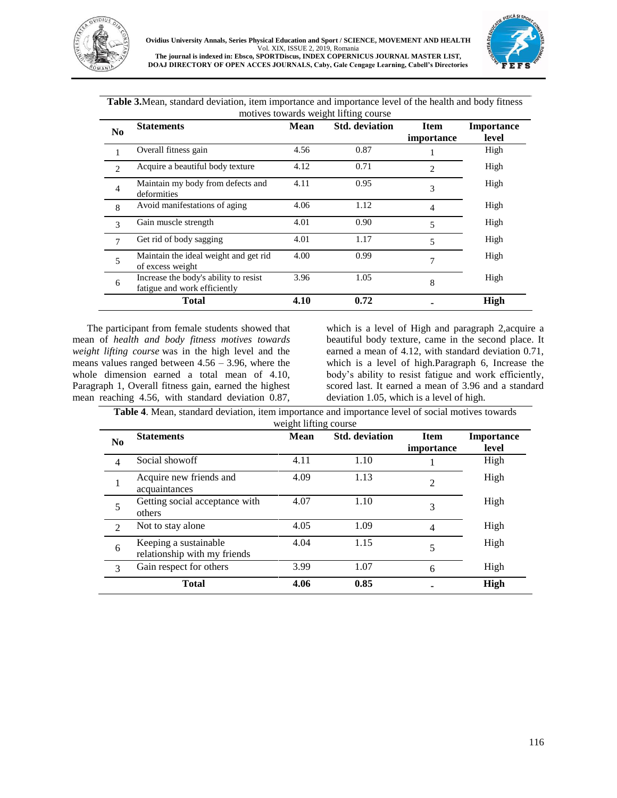



**Table 3.**Mean, standard deviation, item importance and importance level of the health and body fitness motives towards weight lifting course

| N <sub>0</sub>         | <b>Statements</b>                                                     | Mean | <b>Std.</b> deviation | <b>Item</b><br>importance   | <b>Importance</b><br>level |
|------------------------|-----------------------------------------------------------------------|------|-----------------------|-----------------------------|----------------------------|
|                        | Overall fitness gain                                                  | 4.56 | 0.87                  |                             | High                       |
| $\mathcal{D}_{\alpha}$ | Acquire a beautiful body texture                                      | 4.12 | 0.71                  | $\mathcal{D}_{\mathcal{L}}$ | High                       |
| $\overline{4}$         | Maintain my body from defects and<br>deformities                      | 4.11 | 0.95                  | 3                           | High                       |
| 8                      | Avoid manifestations of aging                                         | 4.06 | 1.12                  | 4                           | High                       |
| $\mathcal{F}$          | Gain muscle strength                                                  | 4.01 | 0.90                  | 5                           | High                       |
| 7                      | Get rid of body sagging                                               | 4.01 | 1.17                  | 5                           | High                       |
| 5                      | Maintain the ideal weight and get rid<br>of excess weight             | 4.00 | 0.99                  | 7                           | High                       |
| 6                      | Increase the body's ability to resist<br>fatigue and work efficiently | 3.96 | 1.05                  | 8                           | High                       |
|                        | <b>Total</b>                                                          | 4.10 | 0.72                  |                             | High                       |

The participant from female students showed that mean of *health and body fitness motives towards weight lifting course* was in the high level and the means values ranged between 4.56 – 3.96, where the whole dimension earned a total mean of 4.10, Paragraph 1, Overall fitness gain, earned the highest mean reaching 4.56, with standard deviation 0.87,

which is a level of High and paragraph 2,acquire a beautiful body texture, came in the second place. It earned a mean of 4.12, with standard deviation 0.71, which is a level of high.Paragraph 6, Increase the body's ability to resist fatigue and work efficiently, scored last. It earned a mean of 3.96 and a standard deviation 1.05, which is a level of high.

**Table 4**. Mean, standard deviation, item importance and importance level of social motives towards  $\sim 100$ 

| N <sub>0</sub> | <b>Statements</b>                                     | Mean | <b>Std.</b> deviation | <b>Item</b><br>importance | <b>Importance</b><br>level |
|----------------|-------------------------------------------------------|------|-----------------------|---------------------------|----------------------------|
| 4              | Social showoff                                        | 4.11 | 1.10                  |                           | High                       |
|                | Acquire new friends and<br>acquaintances              | 4.09 | 1.13                  | $\mathfrak{D}$            | High                       |
| 5              | Getting social acceptance with<br>others              | 4.07 | 1.10                  | 3                         | High                       |
| $\mathfrak{D}$ | Not to stay alone                                     | 4.05 | 1.09                  | 4                         | High                       |
| 6              | Keeping a sustainable<br>relationship with my friends | 4.04 | 1.15                  | 5                         | High                       |
| 3              | Gain respect for others                               | 3.99 | 1.07                  | 6                         | High                       |
|                | <b>Total</b>                                          | 4.06 | 0.85                  |                           | <b>High</b>                |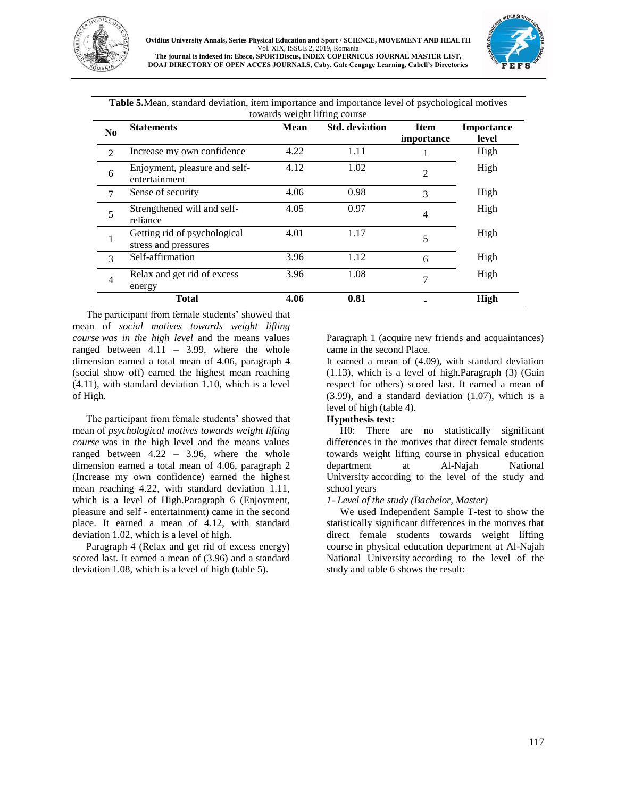



| towards weight lifting course |                                                      |             |                       |                           |                     |  |
|-------------------------------|------------------------------------------------------|-------------|-----------------------|---------------------------|---------------------|--|
| N <sub>0</sub>                | <b>Statements</b>                                    | <b>Mean</b> | <b>Std.</b> deviation | <b>Item</b><br>importance | Importance<br>level |  |
| $\mathcal{D}_{\mathcal{L}}$   | Increase my own confidence                           | 4.22        | 1.11                  |                           | High                |  |
| 6                             | Enjoyment, pleasure and self-<br>entertainment       | 4.12        | 1.02                  | $\overline{2}$            | High                |  |
| 7                             | Sense of security                                    | 4.06        | 0.98                  | 3                         | High                |  |
| 5                             | Strengthened will and self-<br>reliance              | 4.05        | 0.97                  | $\overline{4}$            | High                |  |
|                               | Getting rid of psychological<br>stress and pressures | 4.01        | 1.17                  | 5                         | High                |  |
| 3                             | Self-affirmation                                     | 3.96        | 1.12                  | 6                         | High                |  |
| 4                             | Relax and get rid of excess<br>energy                | 3.96        | 1.08                  | 7                         | High                |  |
|                               | <b>Total</b>                                         | 4.06        | 0.81                  |                           | High                |  |

**Table 5.**Mean, standard deviation, item importance and importance level of psychological motives

The participant from female students' showed that mean of *social motives towards weight lifting course was in the high level* and the means values ranged between 4.11 – 3.99, where the whole dimension earned a total mean of 4.06, paragraph 4 (social show off) earned the highest mean reaching (4.11), with standard deviation 1.10, which is a level of High.

The participant from female students' showed that mean of *psychological motives towards weight lifting course* was in the high level and the means values ranged between 4.22 – 3.96, where the whole dimension earned a total mean of 4.06, paragraph 2 (Increase my own confidence) earned the highest mean reaching 4.22, with standard deviation 1.11, which is a level of High.Paragraph 6 (Enjoyment, pleasure and self - entertainment) came in the second place. It earned a mean of 4.12, with standard deviation 1.02, which is a level of high.

Paragraph 4 (Relax and get rid of excess energy) scored last. It earned a mean of (3.96) and a standard deviation 1.08, which is a level of high (table 5).

Paragraph 1 (acquire new friends and acquaintances) came in the second Place.

It earned a mean of (4.09), with standard deviation (1.13), which is a level of high.Paragraph (3) (Gain respect for others) scored last. It earned a mean of (3.99), and a standard deviation (1.07), which is a level of high (table 4).

## **Hypothesis test:**

H0: There are no statistically significant differences in the motives that direct female students towards weight lifting course in physical education department at Al-Najah National University according to the level of the study and school years

## *1- Level of the study (Bachelor, Master)*

We used Independent Sample T-test to show the statistically significant differences in the motives that direct female students towards weight lifting course in physical education department at Al-Najah National University according to the level of the study and table 6 shows the result: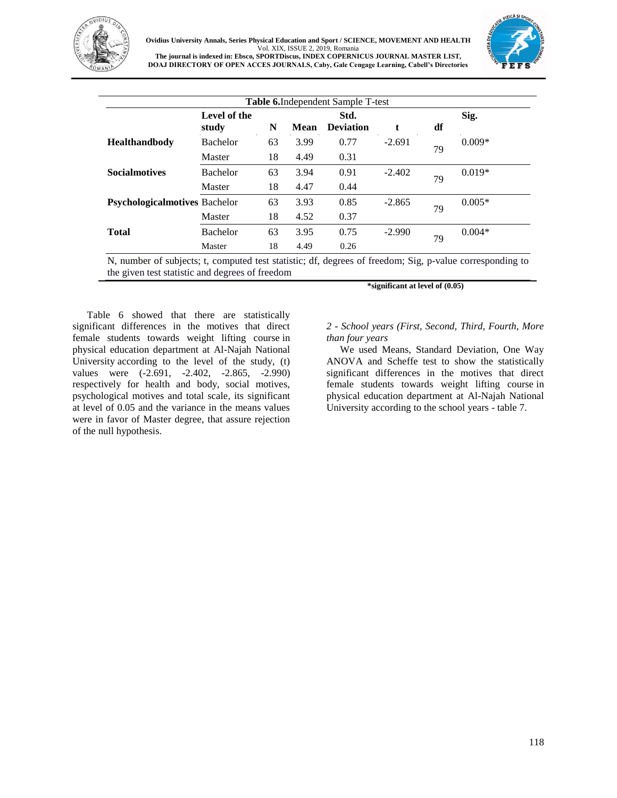

## **Ovidius University Annals, Series Physical Education and Sport / SCIENCE, MOVEMENT AND HEALTH** Vol. XIX, ISSUE 2, 2019, Romania **The journal is indexed in: Ebsco, SPORTDiscus, INDEX COPERNICUS JOURNAL MASTER LIST,**

**DOAJ DIRECTORY OF OPEN ACCES JOURNALS, Caby, Gale Cengage Learning, Cabell's Directories**



| <b>Table 6.</b> Independent Sample T-test |                       |    |             |                          |          |    |          |
|-------------------------------------------|-----------------------|----|-------------|--------------------------|----------|----|----------|
|                                           | Level of the<br>study | N  | <b>Mean</b> | Std.<br><b>Deviation</b> | t        | df | Sig.     |
| <b>Healthandbody</b>                      | <b>Bachelor</b>       | 63 | 3.99        | 0.77                     | $-2.691$ |    | $0.009*$ |
|                                           | Master                | 18 | 4.49        | 0.31                     |          | 79 |          |
| <b>Socialmotives</b>                      | <b>Bachelor</b>       | 63 | 3.94        | 0.91                     | $-2.402$ |    | $0.019*$ |
|                                           | Master                | 18 | 4.47        | 0.44                     |          | 79 |          |
| <b>Psychologicalmotives</b> Bachelor      |                       | 63 | 3.93        | 0.85                     | $-2.865$ |    | $0.005*$ |
|                                           | Master                | 18 | 4.52        | 0.37                     |          | 79 |          |
| <b>Total</b>                              | <b>Bachelor</b>       | 63 | 3.95        | 0.75                     | $-2.990$ |    | $0.004*$ |
|                                           | Master                | 18 | 4.49        | 0.26                     |          | 79 |          |

N, number of subjects; t, computed test statistic; df, degrees of freedom; Sig, p-value corresponding to the given test statistic and degrees of freedom

Table 6 showed that there are statistically significant differences in the motives that direct female students towards weight lifting course in physical education department at Al-Najah National University according to the level of the study, (t) values were  $(-2.691, -2.402, -2.865, -2.990)$ respectively for health and body, social motives, psychological motives and total scale, its significant at level of 0.05 and the variance in the means values were in favor of Master degree, that assure rejection of the null hypothesis.

#### **\*significant at level of (0.05)**

### *2 - School years (First, Second, Third, Fourth, More than four years*

We used Means, Standard Deviation, One Way ANOVA and Scheffe test to show the statistically significant differences in the motives that direct female students towards weight lifting course in physical education department at Al-Najah National University according to the school years - table 7.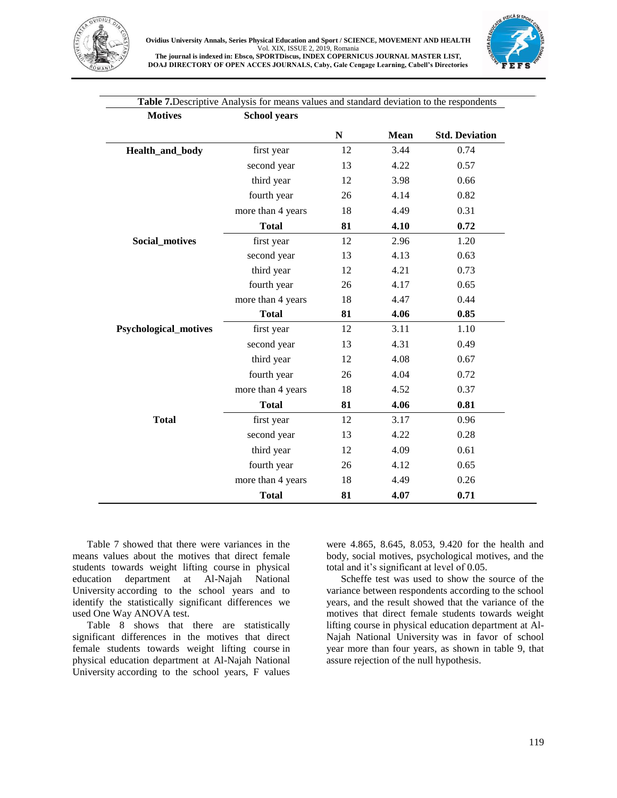



| <b>Motives</b>               | <b>School years</b> |           |             |                       |
|------------------------------|---------------------|-----------|-------------|-----------------------|
|                              |                     | ${\bf N}$ | <b>Mean</b> | <b>Std. Deviation</b> |
| Health_and_body              | first year          | 12        | 3.44        | 0.74                  |
|                              | second year         | 13        | 4.22        | 0.57                  |
|                              | third year          | 12        | 3.98        | 0.66                  |
|                              | fourth year         | 26        | 4.14        | 0.82                  |
|                              | more than 4 years   | 18        | 4.49        | 0.31                  |
|                              | <b>Total</b>        | 81        | 4.10        | 0.72                  |
| <b>Social_motives</b>        | first year          | 12        | 2.96        | 1.20                  |
|                              | second year         | 13        | 4.13        | 0.63                  |
|                              | third year          | 12        | 4.21        | 0.73                  |
|                              | fourth year         | 26        | 4.17        | 0.65                  |
|                              | more than 4 years   | 18        | 4.47        | 0.44                  |
|                              | <b>Total</b>        | 81        | 4.06        | 0.85                  |
| <b>Psychological_motives</b> | first year          | 12        | 3.11        | 1.10                  |
|                              | second year         | 13        | 4.31        | 0.49                  |
|                              | third year          | 12        | 4.08        | 0.67                  |
|                              | fourth year         | 26        | 4.04        | 0.72                  |
|                              | more than 4 years   | 18        | 4.52        | 0.37                  |
|                              | <b>Total</b>        | 81        | 4.06        | 0.81                  |
| <b>Total</b>                 | first year          | 12        | 3.17        | 0.96                  |
|                              | second year         | 13        | 4.22        | 0.28                  |
|                              | third year          | 12        | 4.09        | 0.61                  |
|                              | fourth year         | 26        | 4.12        | 0.65                  |
|                              | more than 4 years   | 18        | 4.49        | 0.26                  |
|                              | <b>Total</b>        | 81        | 4.07        | 0.71                  |

**Table 7.**Descriptive Analysis for means values and standard deviation to the respondents

Table 7 showed that there were variances in the means values about the motives that direct female students towards weight lifting course in physical education department at Al-Najah National University according to the school years and to identify the statistically significant differences we used One Way ANOVA test.

Table 8 shows that there are statistically significant differences in the motives that direct female students towards weight lifting course in physical education department at Al-Najah National University according to the school years, F values were 4.865, 8.645, 8.053, 9.420 for the health and body, social motives, psychological motives, and the total and it's significant at level of 0.05.

Scheffe test was used to show the source of the variance between respondents according to the school years, and the result showed that the variance of the motives that direct female students towards weight lifting course in physical education department at Al-Najah National University was in favor of school year more than four years, as shown in table 9, that assure rejection of the null hypothesis.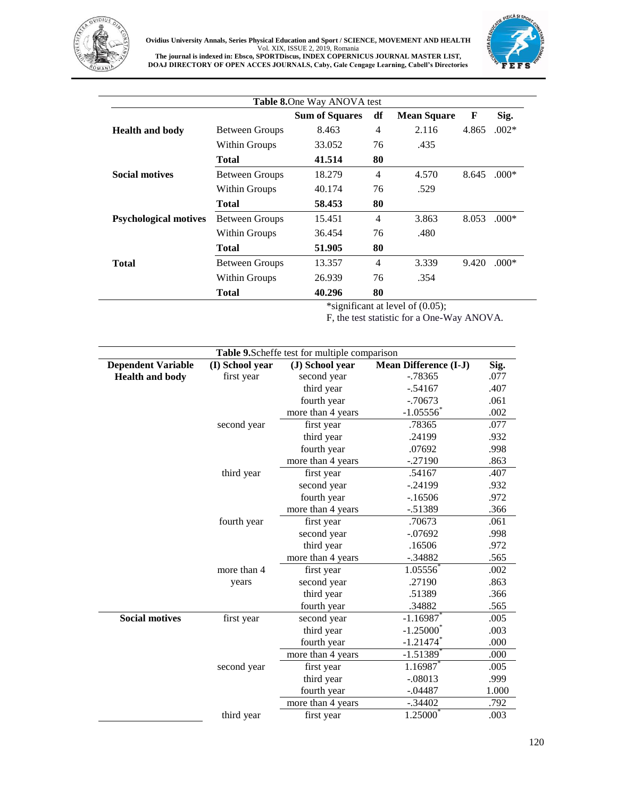

#### **Ovidius University Annals, Series Physical Education and Sport / SCIENCE, MOVEMENT AND HEALTH** Vol. XIX, ISSUE 2, 2019, Romania **The journal is indexed in: Ebsco, SPORTDiscus, INDEX COPERNICUS JOURNAL MASTER LIST, DOAJ DIRECTORY OF OPEN ACCES JOURNALS, Caby, Gale Cengage Learning, Cabell's Directories**



|                              |                       | Table 8. One Way ANOVA test |                |                    |       |         |
|------------------------------|-----------------------|-----------------------------|----------------|--------------------|-------|---------|
|                              |                       | <b>Sum of Squares</b>       | df             | <b>Mean Square</b> | F     | Sig.    |
| <b>Health and body</b>       | <b>Between Groups</b> | 8.463                       | $\overline{4}$ | 2.116              | 4.865 | $.002*$ |
|                              | Within Groups         | 33.052                      | 76             | .435               |       |         |
|                              | <b>Total</b>          | 41.514                      | 80             |                    |       |         |
| <b>Social motives</b>        | <b>Between Groups</b> | 18.279                      | 4              | 4.570              | 8.645 | $.000*$ |
|                              | <b>Within Groups</b>  | 40.174                      | 76             | .529               |       |         |
|                              | Total                 | 58.453                      | 80             |                    |       |         |
| <b>Psychological motives</b> | <b>Between Groups</b> | 15.451                      | 4              | 3.863              | 8.053 | $.000*$ |
|                              | Within Groups         | 36.454                      | 76             | .480               |       |         |
|                              | <b>Total</b>          | 51.905                      | 80             |                    |       |         |
| Total                        | <b>Between Groups</b> | 13.357                      | 4              | 3.339              | 9.420 | $.000*$ |
|                              | Within Groups         | 26.939                      | 76             | .354               |       |         |
|                              | Total                 | 40.296                      | 80             |                    |       |         |

\*significant at level of (0.05);

F, the test statistic for a One-Way ANOVA.

|                           |                 | Table 9. Scheffe test for multiple comparison |                              |       |
|---------------------------|-----------------|-----------------------------------------------|------------------------------|-------|
| <b>Dependent Variable</b> | (I) School year | (J) School year                               | <b>Mean Difference (I-J)</b> | Sig.  |
| <b>Health and body</b>    | first year      | second year                                   | $-0.78365$                   | .077  |
|                           |                 | third year                                    | $-.54167$                    | .407  |
|                           |                 | fourth year                                   | $-70673$                     | .061  |
|                           |                 | more than 4 years                             | $-1.05556$                   | .002  |
|                           | second year     | first year                                    | .78365                       | .077  |
|                           |                 | third year                                    | .24199                       | .932  |
|                           |                 | fourth year                                   | .07692                       | .998  |
|                           |                 | more than 4 years                             | $-.27190$                    | .863  |
|                           | third year      | first year                                    | .54167                       | .407  |
|                           |                 | second year                                   | $-.24199$                    | .932  |
|                           |                 | fourth year                                   | $-16506$                     | .972  |
|                           |                 | more than 4 years                             | $-0.51389$                   | .366  |
|                           | fourth year     | first year                                    | .70673                       | .061  |
|                           |                 | second year                                   | $-.07692$                    | .998  |
|                           |                 | third year                                    | .16506                       | .972  |
|                           |                 | more than 4 years                             | $-.34882$                    | .565  |
|                           | more than 4     | first year                                    | 1.05556                      | .002  |
|                           | years           | second year                                   | .27190                       | .863  |
|                           |                 | third year                                    | .51389                       | .366  |
|                           |                 | fourth year                                   | .34882                       | .565  |
| <b>Social motives</b>     | first year      | second year                                   | $-1.16987$                   | .005  |
|                           |                 | third year                                    | $-1.25000$                   | .003  |
|                           |                 | fourth year                                   | $-1.21474$ <sup>*</sup>      | .000  |
|                           |                 | more than 4 years                             | $-1.51389$                   | .000  |
|                           | second year     | first year                                    | 1.16987                      | .005  |
|                           |                 | third year                                    | $-.08013$                    | .999  |
|                           |                 | fourth year                                   | $-.04487$                    | 1.000 |
|                           |                 | more than 4 years                             | $-.34402$                    | .792  |
|                           | third year      | first year                                    | 1.25000                      | .003  |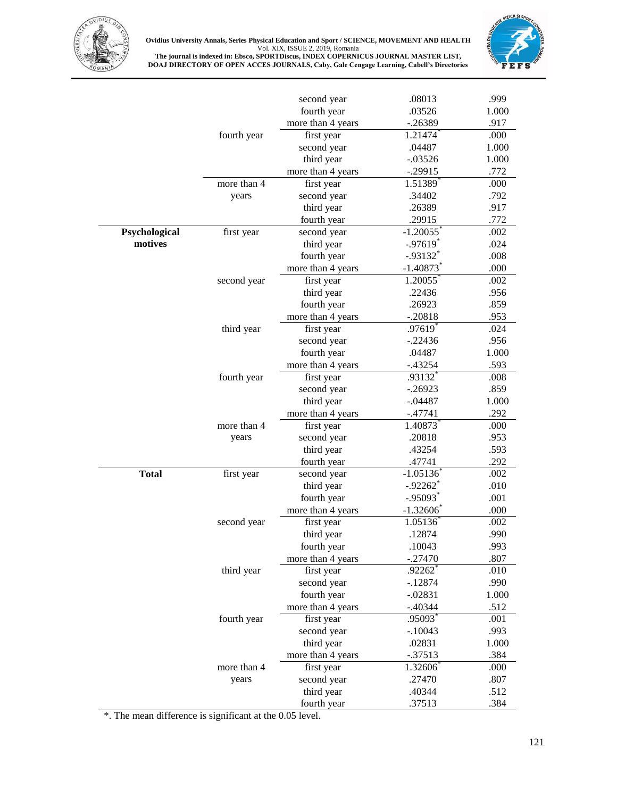

**Ovidius University Annals, Series Physical Education and Sport / SCIENCE, MOVEMENT AND HEALTH** Vol. XIX, ISSUE 2, 2019, Romania **The journal is indexed in: Ebsco, SPORTDiscus, INDEX COPERNICUS JOURNAL MASTER LIST,**

**DOAJ DIRECTORY OF OPEN ACCES JOURNALS, Caby, Gale Cengage Learning, Cabell's Directories**



|               |             | second year       | .08013                  | .999  |
|---------------|-------------|-------------------|-------------------------|-------|
|               |             | fourth year       | .03526                  | 1.000 |
|               |             | more than 4 years | $-.26389$               | .917  |
|               | fourth year | first year        | 1.21474                 | .000  |
|               |             | second year       | .04487                  | 1.000 |
|               |             | third year        | $-.03526$               | 1.000 |
|               |             | more than 4 years | $-.29915$               | .772  |
|               | more than 4 | first year        | 1.51389                 | .000  |
|               | years       | second year       | .34402                  | .792  |
|               |             | third year        | .26389                  | .917  |
|               |             | fourth year       | .29915                  | .772  |
| Psychological | first year  | second year       | $-1.20055$              | .002  |
| motives       |             | third year        | $-.97619$ <sup>*</sup>  | .024  |
|               |             | fourth year       | $-.93132$ <sup>*</sup>  | .008  |
|               |             | more than 4 years | $-1.40873$              | .000  |
|               | second year | first year        | 1.20055                 | .002  |
|               |             | third year        | .22436                  | .956  |
|               |             | fourth year       | .26923                  | .859  |
|               |             |                   | $-.20818$               | .953  |
|               |             | more than 4 years |                         |       |
|               | third year  | first year        | $.97619$ <sup>*</sup>   | .024  |
|               |             | second year       | $-.22436$               | .956  |
|               |             | fourth year       | .04487                  | 1.000 |
|               |             | more than 4 years | $-0.43254$              | .593  |
|               | fourth year | first year        | .93132                  | .008  |
|               |             | second year       | $-.26923$               | .859  |
|               |             | third year        | $-.04487$               | 1.000 |
|               |             | more than 4 years | $-.47741$               | .292  |
|               | more than 4 | first year        | 1.40873                 | .000  |
|               | years       | second year       | .20818                  | .953  |
|               |             | third year        | .43254                  | .593  |
|               |             | fourth year       | .47741                  | .292  |
| <b>Total</b>  | first year  | second year       | $-1.05136$              | .002  |
|               |             | third year        | $-.92262$ <sup>*</sup>  | .010  |
|               |             | fourth year       | $-.95093$               | .001  |
|               |             | more than 4 years | $-1.32606$ <sup>*</sup> | .000  |
|               | second year | first year        | 1.05136                 | .002  |
|               |             | third year        | .12874                  | .990  |
|               |             | fourth year       | .10043                  | .993  |
|               |             | more than 4 years | $-.27470$               | .807  |
|               | third year  | first year        | $.92262$ <sup>*</sup>   | .010  |
|               |             | second year       | $-12874$                | .990  |
|               |             | fourth year       | $-.02831$               | 1.000 |
|               |             | more than 4 years | $-.40344$               | .512  |
|               | fourth year | first year        | .95093*                 | .001  |
|               |             | second year       | $-.10043$               | .993  |
|               |             | third year        | .02831                  | 1.000 |
|               |             | more than 4 years | $-.37513$               | .384  |
|               | more than 4 | first year        | 1.32606                 | .000  |
|               | years       | second year       | .27470                  | .807  |
|               |             | third year        | .40344                  | .512  |
|               |             | fourth year       | .37513                  | .384  |
|               |             |                   |                         |       |

\*. The mean difference is significant at the 0.05 level.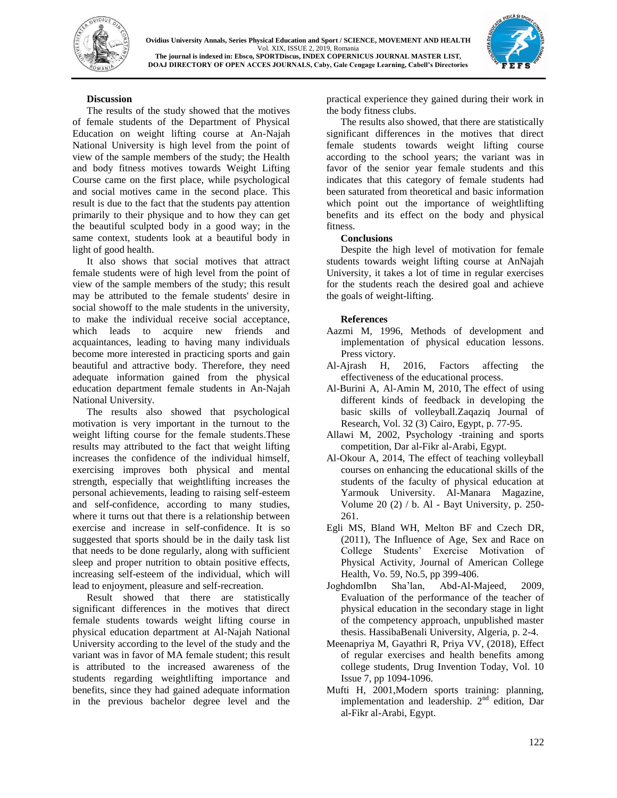



## **Discussion**

The results of the study showed that the motives of female students of the Department of Physical Education on weight lifting course at An-Najah National University is high level from the point of view of the sample members of the study; the Health and body fitness motives towards Weight Lifting Course came on the first place, while psychological and social motives came in the second place. This result is due to the fact that the students pay attention primarily to their physique and to how they can get the beautiful sculpted body in a good way; in the same context, students look at a beautiful body in light of good health.

It also shows that social motives that attract female students were of high level from the point of view of the sample members of the study; this result may be attributed to the female students' desire in social showoff to the male students in the university, to make the individual receive social acceptance, which leads to acquire new friends and acquaintances, leading to having many individuals become more interested in practicing sports and gain beautiful and attractive body. Therefore, they need adequate information gained from the physical education department female students in An-Najah National University.

The results also showed that psychological motivation is very important in the turnout to the weight lifting course for the female students.These results may attributed to the fact that weight lifting increases the confidence of the individual himself, exercising improves both physical and mental strength, especially that weightlifting increases the personal achievements, leading to raising self-esteem and self-confidence, according to many studies, where it turns out that there is a relationship between exercise and increase in self-confidence. It is so suggested that sports should be in the daily task list that needs to be done regularly, along with sufficient sleep and proper nutrition to obtain positive effects, increasing self-esteem of the individual, which will lead to enjoyment, pleasure and self-recreation.

Result showed that there are statistically significant differences in the motives that direct female students towards weight lifting course in physical education department at Al-Najah National University according to the level of the study and the variant was in favor of MA female student; this result is attributed to the increased awareness of the students regarding weightlifting importance and benefits, since they had gained adequate information in the previous bachelor degree level and the

practical experience they gained during their work in the body fitness clubs.

The results also showed, that there are statistically significant differences in the motives that direct female students towards weight lifting course according to the school years; the variant was in favor of the senior year female students and this indicates that this category of female students had been saturated from theoretical and basic information which point out the importance of weightlifting benefits and its effect on the body and physical fitness.

## **Conclusions**

Despite the high level of motivation for female students towards weight lifting course at AnNajah University, it takes a lot of time in regular exercises for the students reach the desired goal and achieve the goals of weight-lifting.

## **References**

- Aazmi M, 1996, Methods of development and implementation of physical education lessons. Press victory.
- Al-Ajrash H, 2016, Factors affecting the effectiveness of the educational process.
- Al-Burini A, Al-Amin M, 2010, The effect of using different kinds of feedback in developing the basic skills of volleyball.Zaqaziq Journal of Research, Vol. 32 (3) Cairo, Egypt, p. 77-95.
- Allawi M, 2002, Psychology -training and sports competition, Dar al-Fikr al-Arabi, Egypt.
- Al-Okour A, 2014, The effect of teaching volleyball courses on enhancing the educational skills of the students of the faculty of physical education at Yarmouk University. Al-Manara Magazine, Volume 20 (2) / b. Al - Bayt University, p. 250- 261.
- Egli MS, Bland WH, Melton BF and Czech DR, (2011), The Influence of Age, Sex and Race on College Students' Exercise Motivation of Physical Activity, Journal of American College Health, Vo. 59, No.5, pp 399-406.
- JoghdomIbn Sha'lan, Abd-Al-Majeed, 2009, Evaluation of the performance of the teacher of physical education in the secondary stage in light of the competency approach, unpublished master thesis. HassibaBenali University, Algeria, p. 2-4.
- Meenapriya M, Gayathri R, Priya VV, (2018), Effect of regular exercises and health benefits among college students, Drug Invention Today, Vol. 10 Issue 7, pp 1094-1096.
- Mufti H, 2001,Modern sports training: planning, implementation and leadership.  $2<sup>nd</sup>$  edition, Dar al-Fikr al-Arabi, Egypt.